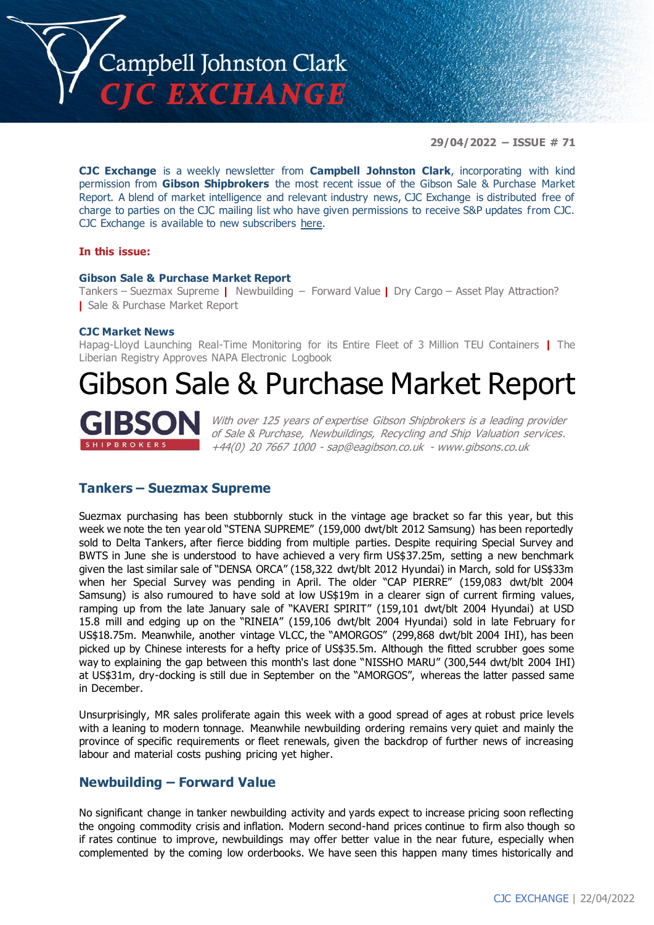

**29/04/2022 – ISSUE # 71**

**CJC Exchange** is a weekly newsletter from **Campbell Johnston Clark**, incorporating with kind permission from **Gibson Shipbrokers** the most recent issue of the Gibson Sale & Purchase Market Report. A blend of market intelligence and relevant industry news, CJC Exchange is distributed free of charge to parties on the CJC mailing list who have given permissions to receive S&P updates from CJC. CJC Exchange is available to new subscribers [here.](mailto:jamesc@cjclaw.com?subject=CJC%20Exchange%20sign-up)

#### **In this issue:**

#### **Gibson Sale & Purchase Market Report**

Tankers – Suezmax Supreme **|** Newbuilding – Forward Value **|** Dry Cargo – Asset Play Attraction? **|** Sale & Purchase Market Report

#### **CJC Market News**

Hapag-Lloyd Launching Real-Time Monitoring for its Entire Fleet of 3 Million TEU Containers **|** The Liberian Registry Approves NAPA Electronic Logbook

# Gibson Sale & Purchase Market Report



With over 125 years of expertise Gibson Shipbrokers is a leading provider of Sale & Purchase, Newbuildings, Recycling and Ship Valuation services. +44(0) 20 7667 1000 - [sap@eagibson.co.uk](mailto:sap@eagibson.co.uk) - [www.gibsons.co.uk](https://protect-eu.mimecast.com/s/VO6nCGZzRS60KqcK1jQh/)

#### **Tankers – Suezmax Supreme**

Suezmax purchasing has been stubbornly stuck in the vintage age bracket so far this year, but this week we note the ten year old "STENA SUPREME" (159,000 dwt/blt 2012 Samsung) has been reportedly sold to Delta Tankers, after fierce bidding from multiple parties. Despite requiring Special Survey and BWTS in June she is understood to have achieved a very firm US\$37.25m, setting a new benchmark given the last similar sale of "DENSA ORCA" (158,322 dwt/blt 2012 Hyundai) in March, sold for US\$33m when her Special Survey was pending in April. The older "CAP PIERRE" (159,083 dwt/blt 2004 Samsung) is also rumoured to have sold at low US\$19m in a clearer sign of current firming values, ramping up from the late January sale of "KAVERI SPIRIT" (159,101 dwt/blt 2004 Hyundai) at USD 15.8 mill and edging up on the "RINEIA" (159,106 dwt/blt 2004 Hyundai) sold in late February for US\$18.75m. Meanwhile, another vintage VLCC, the "AMORGOS" (299,868 dwt/blt 2004 IHI), has been picked up by Chinese interests for a hefty price of US\$35.5m. Although the fitted scrubber goes some way to explaining the gap between this month's last done "NISSHO MARU" (300,544 dwt/blt 2004 IHI) at US\$31m, dry-docking is still due in September on the "AMORGOS", whereas the latter passed same in December.

Unsurprisingly, MR sales proliferate again this week with a good spread of ages at robust price levels with a leaning to modern tonnage. Meanwhile newbuilding ordering remains very quiet and mainly the province of specific requirements or fleet renewals, given the backdrop of further news of increasing labour and material costs pushing pricing yet higher.

#### **Newbuilding – Forward Value**

No significant change in tanker newbuilding activity and yards expect to increase pricing soon reflecting the ongoing commodity crisis and inflation. Modern second-hand prices continue to firm also though so if rates continue to improve, newbuildings may offer better value in the near future, especially when complemented by the coming low orderbooks. We have seen this happen many times historically and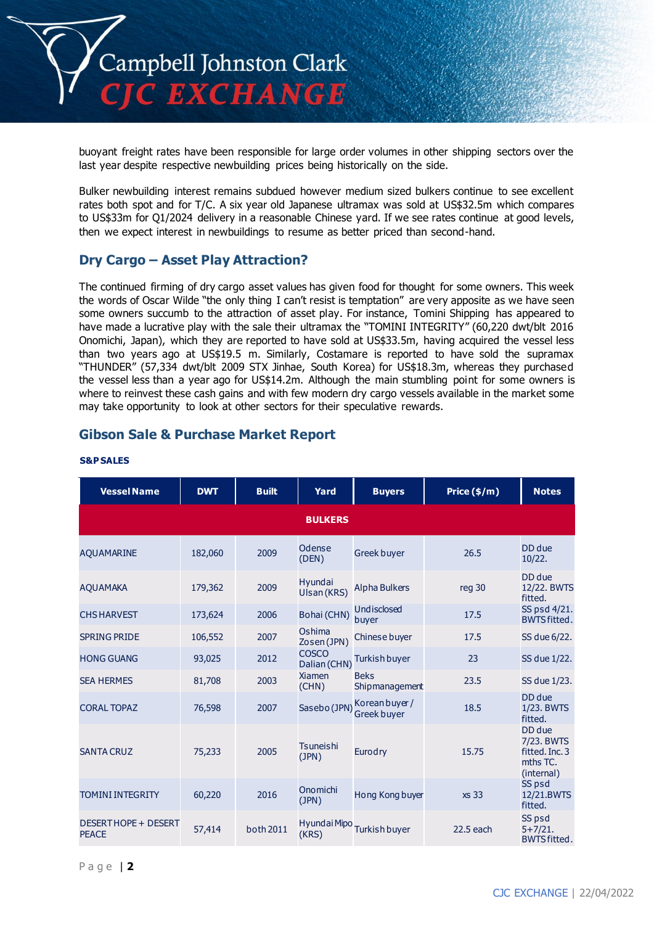

buoyant freight rates have been responsible for large order volumes in other shipping sectors over the last year despite respective newbuilding prices being historically on the side.

Bulker newbuilding interest remains subdued however medium sized bulkers continue to see excellent rates both spot and for T/C. A six year old Japanese ultramax was sold at US\$32.5m which compares to US\$33m for Q1/2024 delivery in a reasonable Chinese yard. If we see rates continue at good levels, then we expect interest in newbuildings to resume as better priced than second-hand.

## **Dry Cargo – Asset Play Attraction?**

The continued firming of dry cargo asset values has given food for thought for some owners. This week the words of Oscar Wilde "the only thing I can't resist is temptation" are very apposite as we have seen some owners succumb to the attraction of asset play. For instance, Tomini Shipping has appeared to have made a lucrative play with the sale their ultramax the "TOMINI INTEGRITY" (60,220 dwt/blt 2016 Onomichi, Japan), which they are reported to have sold at US\$33.5m, having acquired the vessel less than two years ago at US\$19.5 m. Similarly, Costamare is reported to have sold the supramax "THUNDER" (57,334 dwt/blt 2009 STX Jinhae, South Korea) for US\$18.3m, whereas they purchased the vessel less than a year ago for US\$14.2m. Although the main stumbling point for some owners is where to reinvest these cash gains and with few modern dry cargo vessels available in the market some may take opportunity to look at other sectors for their speculative rewards.

### **Gibson Sale & Purchase Market Report**

| <b>Vessel Name</b>                   | <b>DWT</b> | <b>Built</b> | Yard                         | <b>Buyers</b>                        | Price $(\frac{2}{3})$ m) | <b>Notes</b>                                                     |
|--------------------------------------|------------|--------------|------------------------------|--------------------------------------|--------------------------|------------------------------------------------------------------|
|                                      |            |              | <b>BULKERS</b>               |                                      |                          |                                                                  |
| <b>AQUAMARINE</b>                    | 182,060    | 2009         | Odense<br>(DEN)              | <b>Greek buyer</b>                   | 26.5                     | DD due<br>10/22.                                                 |
| <b>AQUAMAKA</b>                      | 179,362    | 2009         | Hyundai<br>Ulsan (KRS)       | Alpha Bulkers                        | reg 30                   | DD due<br>12/22. BWTS<br>fitted.                                 |
| <b>CHS HARVEST</b>                   | 173,624    | 2006         | Bohai (CHN)                  | Undisclosed<br>buyer                 | 17.5                     | SS psd 4/21.<br><b>BWTS fitted.</b>                              |
| <b>SPRING PRIDE</b>                  | 106,552    | 2007         | Oshima<br>Zosen (JPN)        | Chinese buyer                        | 17.5                     | SS due 6/22.                                                     |
| <b>HONG GUANG</b>                    | 93,025     | 2012         | <b>COSCO</b><br>Dalian (CHN) | Turkish buyer                        | 23                       | SS due 1/22.                                                     |
| <b>SEA HERMES</b>                    | 81,708     | 2003         | <b>Xiamen</b><br>(CHN)       | <b>Beks</b><br>Shipmanagement        | 23.5                     | SS due 1/23.                                                     |
| <b>CORAL TOPAZ</b>                   | 76,598     | 2007         | Sasebo (JPN)                 | Korean buyer /<br><b>Greek buver</b> | 18.5                     | DD due<br>1/23. BWTS<br>fitted.                                  |
| <b>SANTA CRUZ</b>                    | 75,233     | 2005         | <b>Tsuneishi</b><br>(JPN)    | Eurodry                              | 15.75                    | DD due<br>7/23. BWTS<br>fitted. Inc. 3<br>mths TC.<br>(internal) |
| <b>TOMINI INTEGRITY</b>              | 60,220     | 2016         | Onomichi<br>(JPN)            | Hong Kong buyer                      | xs 33                    | SS psd<br>12/21.BWTS<br>fitted.                                  |
| DESERT HOPE + DESERT<br><b>PEACE</b> | 57,414     | both 2011    | Hyundai Mipo<br>(KRS)        | Turkish buyer                        | 22.5 each                | SS psd<br>$5 + 7/21.$<br><b>BWTS fitted.</b>                     |

#### **S&P SALES**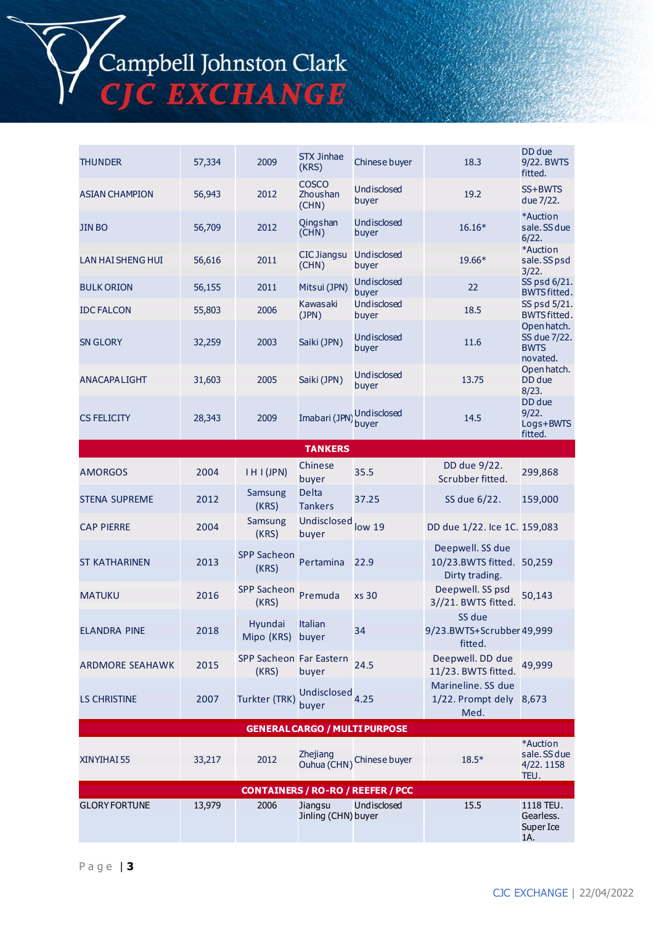# Campbell Johnston Clark<br>CJC EXCHANGE

| <b>THUNDER</b>                           | 57,334 | 2009                             | <b>STX Jinhae</b><br>(KRS)        | Chinese buyer                        | 18.3                                                            | DD due<br>9/22. BWTS<br>fitted.                        |  |
|------------------------------------------|--------|----------------------------------|-----------------------------------|--------------------------------------|-----------------------------------------------------------------|--------------------------------------------------------|--|
| <b>ASIAN CHAMPION</b>                    | 56,943 | 2012                             | <b>COSCO</b><br>Zhoushan<br>(CHN) | Undisclosed<br>buyer                 | 19.2                                                            | SS+BWTS<br>due 7/22.                                   |  |
| <b>JIN BO</b>                            | 56,709 | 2012                             | Qingshan<br>(CHN)                 | Undisclosed<br>buyer                 | 16.16*                                                          | *Auction<br>sale. SS due<br>6/22.                      |  |
| <b>LAN HAI SHENG HUI</b>                 | 56,616 | 2011                             | <b>CIC Jiangsu</b><br>(CHN)       | Undisclosed<br>buyer                 | 19.66*                                                          | *Auction<br>sale. SS psd<br>3/22.                      |  |
| <b>BULK ORION</b>                        | 56,155 | 2011                             | Mitsui (JPN)                      | Undisclosed<br>buyer                 | 22                                                              | SS psd 6/21.<br><b>BWTS fitted.</b>                    |  |
| <b>IDC FALCON</b>                        | 55,803 | 2006                             | Kawasaki<br>(JPN)                 | Undisclosed<br>buyer                 | 18.5                                                            | SS psd 5/21.<br><b>BWTS fitted.</b>                    |  |
| <b>SN GLORY</b>                          | 32,259 | 2003                             | Saiki (JPN)                       | Undisclosed<br>buyer                 | 11.6                                                            | Open hatch.<br>SS due 7/22.<br><b>BWTS</b><br>novated. |  |
| ANACAPALIGHT                             | 31,603 | 2005                             | Saiki (JPN)                       | Undisclosed<br>buyer                 | 13.75                                                           | Open hatch.<br>DD due<br>8/23.                         |  |
| <b>CS FELICITY</b>                       | 28,343 | 2009                             | Imabari (JPN)                     | Undisclosed<br>buyer                 | 14.5                                                            | DD due<br>9/22.<br>Logs+BWTS<br>fitted.                |  |
|                                          |        |                                  | <b>TANKERS</b>                    |                                      |                                                                 |                                                        |  |
| <b>AMORGOS</b>                           | 2004   | IHI(JPN)                         | Chinese<br>buyer                  | 35.5                                 | DD due 9/22.<br>Scrubber fitted.                                | 299,868                                                |  |
| <b>STENA SUPREME</b>                     | 2012   | Samsung<br>(KRS)                 | <b>Delta</b><br><b>Tankers</b>    | 37.25                                | SS due 6/22.                                                    | 159,000                                                |  |
| <b>CAP PIERRE</b>                        | 2004   | Samsung<br>(KRS)                 | Undisclosed<br>buyer              | low 19                               | DD due 1/22. Ice 1C. 159,083                                    |                                                        |  |
| <b>ST KATHARINEN</b>                     | 2013   | <b>SPP Sacheon</b><br>(KRS)      | Pertamina                         | 22.9                                 | Deepwell. SS due<br>10/23.BWTS fitted. 50,259<br>Dirty trading. |                                                        |  |
| <b>MATUKU</b>                            | 2016   | <b>SPP Sacheon</b><br>(KRS)      | Premuda                           | <b>xs 30</b>                         | Deepwell. SS psd<br>3//21. BWTS fitted.                         | 50,143                                                 |  |
| <b>ELANDRA PINE</b>                      | 2018   | Hyundai<br>Mipo (KRS) buyer      | <b>Italian</b>                    | 34                                   | SS due<br>9/23.BWTS+Scrubber49,999<br>fitted.                   |                                                        |  |
| <b>ARDMORE SEAHAWK</b>                   | 2015   | SPP Sacheon Far Eastern<br>(KRS) | buyer                             | 24.5                                 | Deepwell. DD due<br>11/23. BWTS fitted.                         | 49,999                                                 |  |
| <b>LS CHRISTINE</b>                      | 2007   | Turkter (TRK)                    | Undisclosed<br>buyer              | 4.25                                 | Marineline. SS due<br>1/22. Prompt dely 8,673<br>Med.           |                                                        |  |
|                                          |        |                                  |                                   | <b>GENERAL CARGO / MULTI PURPOSE</b> |                                                                 |                                                        |  |
| XINYIHAI 55                              | 33,217 | 2012                             | Zhejiang<br>Ouhua (CHN)           | Chinese buyer                        | $18.5*$                                                         | *Auction<br>sale. SS due<br>4/22.1158<br>TEU.          |  |
| <b>CONTAINERS / RO-RO / REEFER / PCC</b> |        |                                  |                                   |                                      |                                                                 |                                                        |  |
| <b>GLORY FORTUNE</b>                     | 13,979 | 2006                             | Jiangsu<br>Jinling (CHN) buyer    | Undisclosed                          | 15.5                                                            | 1118 TEU.<br>Gearless.<br>Super Ice<br>1A.             |  |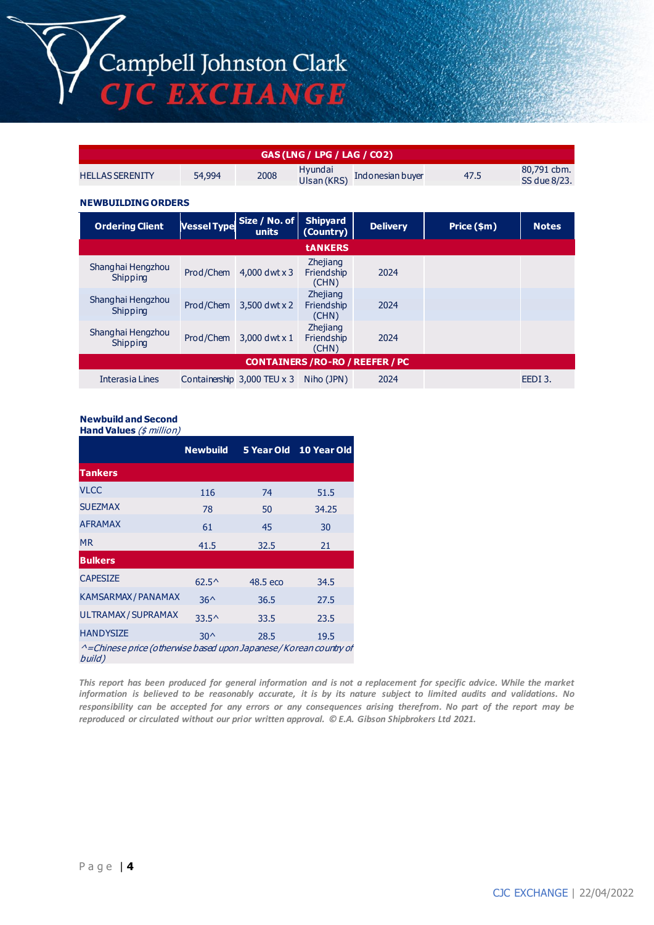Campbell Johnston Clark<br>CJC EXCHANGE

| GAS (LNG / LPG / LAG / CO2)             |                    |                                      |                                        |                  |             |                             |  |
|-----------------------------------------|--------------------|--------------------------------------|----------------------------------------|------------------|-------------|-----------------------------|--|
| <b>HELLAS SERENITY</b>                  | 54,994             | 2008                                 | Hyundai<br>Ulsan (KRS)                 | Indonesian buyer | 47.5        | 80,791 cbm.<br>SS due 8/23. |  |
| <b>NEWBUILDING ORDERS</b>               |                    |                                      |                                        |                  |             |                             |  |
| <b>Ordering Client</b>                  | <b>Vessel Type</b> | Size / No. of<br>units               | <b>Shipyard</b><br>(Country)           | <b>Delivery</b>  | Price (\$m) | <b>Notes</b>                |  |
|                                         |                    |                                      | <b>tANKERS</b>                         |                  |             |                             |  |
| Shanghai Hengzhou<br>Shipping           | Prod/Chem          | 4,000 dwt $\times$ 3                 | <b>Zhejiang</b><br>Friendship<br>(CHN) | 2024             |             |                             |  |
| Shanghai Hengzhou<br>Shipping           | Prod/Chem          | 3,500 dwt x 2                        | Zhejiang<br>Friendship<br>(CHN)        | 2024             |             |                             |  |
| Shanghai Hengzhou<br>Shipping           | Prod/Chem          | 3,000 dwt $x$ 1                      | Zhejiang<br>Friendship<br>(CHN)        | 2024             |             |                             |  |
| <b>CONTAINERS / RO-RO / REEFER / PC</b> |                    |                                      |                                        |                  |             |                             |  |
| Interasia Lines                         |                    | Containership $3,000$ TEU $\times$ 3 | Niho (JPN)                             | 2024             |             | EEDI3.                      |  |

#### **Newbuild and Second**

**Hand Values** (\$ million)

|                                                                            | <b>Newbuild</b> |          | 5 Year Old 10 Year Old |
|----------------------------------------------------------------------------|-----------------|----------|------------------------|
|                                                                            |                 |          |                        |
| <b>Tankers</b>                                                             |                 |          |                        |
| <b>VLCC</b>                                                                | 116             | 74       | 51.5                   |
| <b>SUEZMAX</b>                                                             | 78              | 50       | 34.25                  |
| <b>AFRAMAX</b>                                                             | 61              | 45       | 30                     |
| <b>MR</b>                                                                  | 41.5            | 32.5     | 21                     |
| <b>Bulkers</b>                                                             |                 |          |                        |
| <b>CAPESIZE</b>                                                            | $62.5^{\circ}$  | 48.5 eco | 34.5                   |
| <b>KAMSARMAX / PANAMAX</b>                                                 | $36^$           | 36.5     | 27.5                   |
| ULTRAMAX / SUPRAMAX                                                        | $33.5^{\circ}$  | 33.5     | 23.5                   |
| <b>HANDYSIZE</b>                                                           | $30^{\circ}$    | 28.5     | 19.5                   |
| ^=Chinese price (otherwise based upon Japanese/Korean country of<br>build) |                 |          |                        |

*This report has been produced for general information and is not a replacement for specific advice. While the market information is believed to be reasonably accurate, it is by its nature subject to limited audits and validations. No responsibility can be accepted for any errors or any consequences arising therefrom. No part of the report may be reproduced or circulated without our prior written approval. © E.A. Gibson Shipbrokers Ltd 2021.*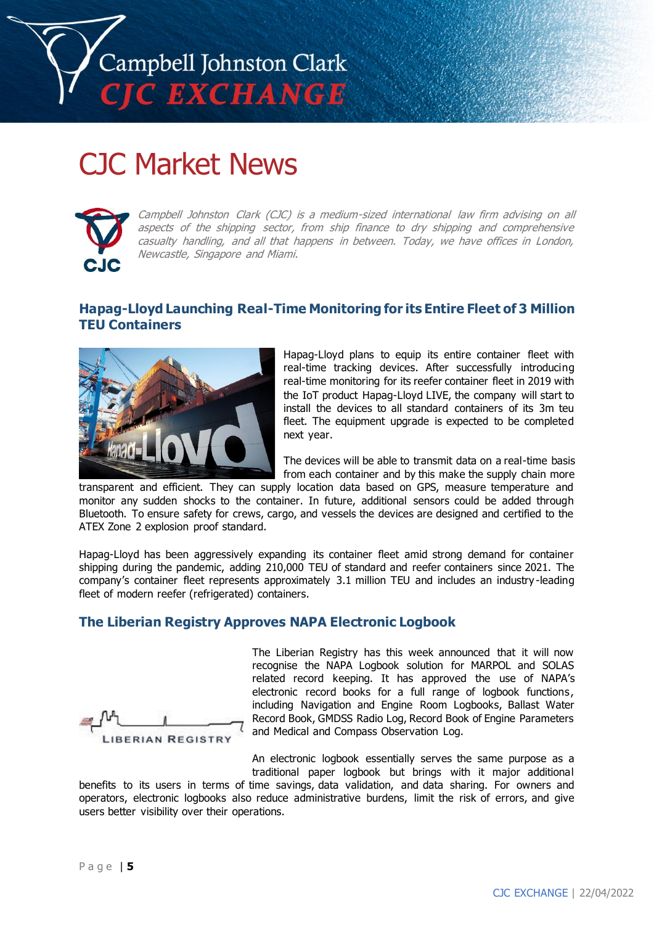

# CJC Market News



Campbell Johnston Clark (CJC) is a medium-sized international law firm advising on all aspects of the shipping sector, from ship finance to dry shipping and comprehensive casualty handling, and all that happens in between. Today, we have offices in London, Newcastle, Singapore and Miami.

# **Hapag-Lloyd Launching Real-Time Monitoring for its Entire Fleet of 3 Million TEU Containers**



Hapag-Lloyd plans to equip its entire container fleet with real-time tracking devices. After successfully introducing real-time monitoring for its reefer container fleet in 2019 with the IoT product Hapag-Lloyd LIVE, the company will start to install the devices to all standard containers of its 3m teu fleet. The equipment upgrade is expected to be completed next year.

The devices will be able to transmit data on a real-time basis from each container and by this make the supply chain more

transparent and efficient. They can supply location data based on GPS, measure temperature and monitor any sudden shocks to the container. In future, additional sensors could be added through Bluetooth. To ensure safety for crews, cargo, and vessels the devices are designed and certified to the ATEX Zone 2 explosion proof standard.

Hapag-Lloyd has been aggressively expanding its container fleet amid strong demand for container shipping during the pandemic, adding 210,000 TEU of standard and reefer containers since 2021. The company's container fleet represents approximately 3.1 million TEU and includes an industry -leading fleet of modern reefer (refrigerated) containers.

## **The Liberian Registry Approves NAPA Electronic Logbook**

**LIBERIAN REGISTRY** 

The Liberian Registry has this week announced that it will now recognise the NAPA Logbook solution for MARPOL and SOLAS related record keeping. It has approved the use of NAPA's electronic record books for a full range of logbook functions, including Navigation and Engine Room Logbooks, Ballast Water Record Book, GMDSS Radio Log, Record Book of Engine Parameters and Medical and Compass Observation Log.

An electronic logbook essentially serves the same purpose as a traditional paper logbook but brings with it major additional

benefits to its users in terms of time savings, data validation, and data sharing. For owners and operators, electronic logbooks also reduce administrative burdens, limit the risk of errors, and give users better visibility over their operations.